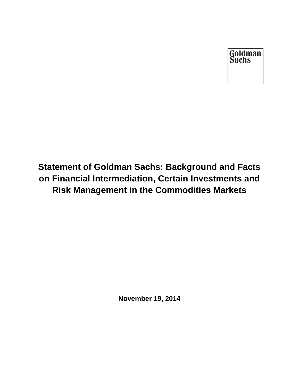Goldman<br>Sachs

# **Statement of Goldman Sachs: Background and Facts on Financial Intermediation, Certain Investments and Risk Management in the Commodities Markets**

**November 19, 2014**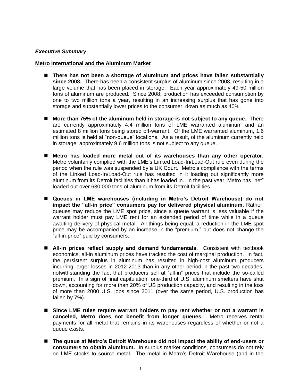## *Executive Summary*

#### **Metro International and the Aluminum Market**

- **There has not been a shortage of aluminum and prices have fallen substantially since 2008.** There has been a consistent surplus of aluminum since 2008, resulting in a large volume that has been placed in storage. Each year approximately 49-50 million tons of aluminum are produced. Since 2008, production has exceeded consumption by one to two million tons a year, resulting in an increasing surplus that has gone into storage and substantially lower prices to the consumer, down as much as 40%.
- **More than 75% of the aluminum held in storage is not subject to any queue.** There are currently approximately 4.4 million tons of LME warranted aluminum and an estimated 8 million tons being stored off-warrant. Of the LME warranted aluminum, 1.6 million tons is held at "non-queue" locations. As a result, of the aluminum currently held in storage, approximately 9.6 million tons is not subject to any queue.
- **Metro has loaded more metal out of its warehouses than any other operator.**  Metro voluntarily complied with the LME's Linked Load-In/Load-Out rule even during the period when the rule was suspended by a UK Court. Metro's compliance with the terms of the Linked Load-In/Load-Out rule has resulted in it loading out significantly more aluminum from its Detroit facilities than it has loaded in. In the past year, Metro has "net" loaded out over 630,000 tons of aluminum from its Detroit facilities.
- **Queues in LME warehouses (including in Metro's Detroit Warehouse) do not impact the "all-in price" consumers pay for delivered physical aluminum.** Rather, queues may reduce the LME spot price, since a queue warrant is less valuable if the warrant holder must pay LME rent for an extended period of time while in a queue awaiting delivery of physical metal. All things being equal, a reduction in the LME spot price may be accompanied by an increase in the "premium," but does not change the "all-in-price" paid by consumers.
- **All-in prices reflect supply and demand fundamentals**. Consistent with textbook economics, all-in aluminum prices have tracked the cost of marginal production. In fact, the persistent surplus in aluminum has resulted in high-cost aluminum producers incurring larger losses in 2012-2013 than in any other period in the past two decades, notwithstanding the fact that producers sell at "all-in" prices that include the so-called premium. In a sign of final capitulation, one-third of U.S. aluminum smelters have shut down, accounting for more than 20% of US production capacity, and resulting in the loss of more than 2000 U.S. jobs since 2011 (over the same period, U.S. production has fallen by 7%).
- Since LME rules require warrant holders to pay rent whether or not a warrant is **canceled, Metro does not benefit from longer queues.** Metro receives rental payments for all metal that remains in its warehouses regardless of whether or not a queue exists.
- The queue at Metro's Detroit Warehouse did not impact the ability of end-users or **consumers to obtain aluminum.** In surplus market conditions, consumers do not rely on LME stocks to source metal. The metal in Metro's Detroit Warehouse (and in the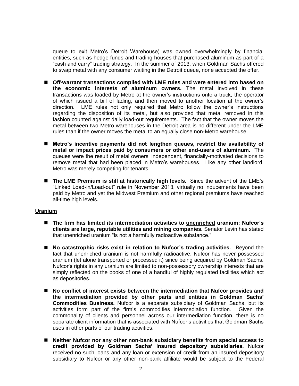queue to exit Metro's Detroit Warehouse) was owned overwhelmingly by financial entities, such as hedge funds and trading houses that purchased aluminum as part of a "cash and carry" trading strategy. In the summer of 2013, when Goldman Sachs offered to swap metal with any consumer waiting in the Detroit queue, none accepted the offer.

- **Off-warrant transactions complied with LME rules and were entered into based on the economic interests of aluminum owners.** The metal involved in these transactions was loaded by Metro at the owner's instructions onto a truck, the operator of which issued a bill of lading, and then moved to another location at the owner's direction. LME rules not only required that Metro follow the owner's instructions regarding the disposition of its metal, but also provided that metal removed in this fashion counted against daily load-out requirements. The fact that the owner moves the metal between two Metro warehouses in the Detroit area is no different under the LME rules than if the owner moves the metal to an equally close non-Metro warehouse.
- **Metro's incentive payments did not lengthen queues, restrict the availability of metal or impact prices paid by consumers or other end-users of aluminum.** The queues were the result of metal owners' independent, financially-motivated decisions to remove metal that had been placed in Metro's warehouses. Like any other landlord, Metro was merely competing for tenants.
- **The LME Premium is still at historically high levels.** Since the advent of the LME's "Linked Load-in/Load-out" rule in November 2013, virtually no inducements have been paid by Metro and yet the Midwest Premium and other regional premiums have reached all-time high levels.

## **Uranium**

- **The firm has limited its intermediation activities to unenriched uranium; Nufcor's clients are large, reputable utilities and mining companies.** Senator Levin has stated that unenriched uranium "is not a harmfully radioactive substance."
- **No catastrophic risks exist in relation to Nufcor's trading activities.** Beyond the fact that unenriched uranium is not harmfully radioactive, Nufcor has never possessed uranium (let alone transported or processed it) since being acquired by Goldman Sachs. Nufcor's rights in any uranium are limited to non-possessory ownership interests that are simply reflected on the books of one of a handful of highly regulated facilities which act as depositories.
- **No conflict of interest exists between the intermediation that Nufcor provides and the intermediation provided by other parts and entities in Goldman Sachs' Commodities Business.** Nufcor is a separate subsidiary of Goldman Sachs, but its activities form part of the firm's commodities intermediation function. Given the commonality of clients and personnel across our intermediation function, there is no separate client information that is associated with Nufcor's activities that Goldman Sachs uses in other parts of our trading activities.
- Neither Nufcor nor any other non-bank subsidiary benefits from special access to **credit provided by Goldman Sachs' insured depository subsidiaries.** Nufcor received no such loans and any loan or extension of credit from an insured depository subsidiary to Nufcor or any other non-bank affiliate would be subject to the Federal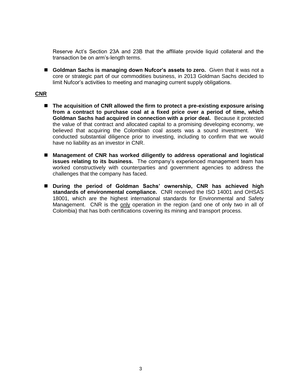Reserve Act's Section 23A and 23B that the affiliate provide liquid collateral and the transaction be on arm's-length terms.

 **Goldman Sachs is managing down Nufcor's assets to zero.** Given that it was not a core or strategic part of our commodities business, in 2013 Goldman Sachs decided to limit Nufcor's activities to meeting and managing current supply obligations.

## **CNR**

- The acquisition of CNR allowed the firm to protect a pre-existing exposure arising **from a contract to purchase coal at a fixed price over a period of time, which Goldman Sachs had acquired in connection with a prior deal.** Because it protected the value of that contract and allocated capital to a promising developing economy, we believed that acquiring the Colombian coal assets was a sound investment. We conducted substantial diligence prior to investing, including to confirm that we would have no liability as an investor in CNR.
- Management of CNR has worked diligently to address operational and logistical **issues relating to its business.** The company's experienced management team has worked constructively with counterparties and government agencies to address the challenges that the company has faced.
- **During the period of Goldman Sachs' ownership, CNR has achieved high standards of environmental compliance.** CNR received the ISO 14001 and OHSAS 18001, which are the highest international standards for Environmental and Safety Management. CNR is the only operation in the region (and one of only two in all of Colombia) that has both certifications covering its mining and transport process.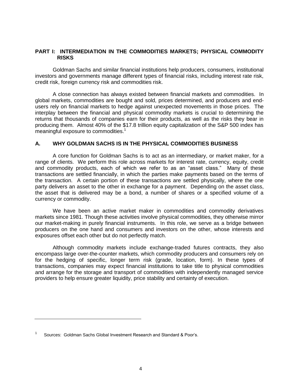## **PART I: INTERMEDIATION IN THE COMMODITIES MARKETS; PHYSICAL COMMODITY RISKS**

Goldman Sachs and similar financial institutions help producers, consumers, institutional investors and governments manage different types of financial risks, including interest rate risk, credit risk, foreign currency risk and commodities risk.

A close connection has always existed between financial markets and commodities. In global markets, commodities are bought and sold, prices determined, and producers and endusers rely on financial markets to hedge against unexpected movements in those prices. The interplay between the financial and physical commodity markets is crucial to determining the returns that thousands of companies earn for their products, as well as the risks they bear in producing them. Almost 40% of the \$17.8 trillion equity capitalization of the S&P 500 index has meaningful exposure to commodities.<sup>1</sup>

## **A. WHY GOLDMAN SACHS IS IN THE PHYSICAL COMMODITIES BUSINESS**

A core function for Goldman Sachs is to act as an intermediary, or market maker, for a range of clients. We perform this role across markets for interest rate, currency, equity, credit and commodity products, each of which we refer to as an "asset class." Many of these transactions are settled financially, in which the parties make payments based on the terms of the transaction. A certain portion of these transactions are settled physically, where the one party delivers an asset to the other in exchange for a payment. Depending on the asset class, the asset that is delivered may be a bond, a number of shares or a specified volume of a currency or commodity.

We have been an active market maker in commodities and commodity derivatives markets since 1981. Though these activities involve physical commodities, they otherwise mirror our market-making in purely financial instruments. In this role, we serve as a bridge between producers on the one hand and consumers and investors on the other, whose interests and exposures offset each other but do not perfectly match.

Although commodity markets include exchange-traded futures contracts, they also encompass large over-the-counter markets, which commodity producers and consumers rely on for the hedging of specific, longer term risk (grade, location, form). In these types of transactions, companies may expect financial institutions to take title to physical commodities and arrange for the storage and transport of commodities with independently managed service providers to help ensure greater liquidity, price stability and certainty of execution.

<sup>1</sup> Sources: Goldman Sachs Global Investment Research and Standard & Poor's.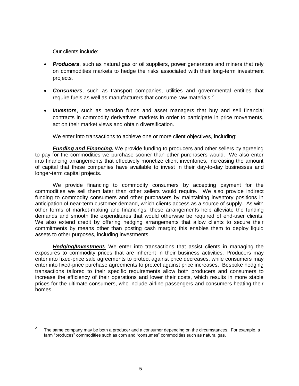Our clients include:

- *Producers*, such as natural gas or oil suppliers, power generators and miners that rely on commodities markets to hedge the risks associated with their long-term investment projects.
- *Consumers*, such as transport companies, utilities and governmental entities that require fuels as well as manufacturers that consume raw materials.<sup>2</sup>
- *Investors*, such as pension funds and asset managers that buy and sell financial contracts in commodity derivatives markets in order to participate in price movements, act on their market views and obtain diversification.

We enter into transactions to achieve one or more client objectives, including:

**Funding and Financing.** We provide funding to producers and other sellers by agreeing to pay for the commodities we purchase sooner than other purchasers would. We also enter into financing arrangements that effectively monetize client inventories, increasing the amount of capital that these companies have available to invest in their day-to-day businesses and longer-term capital projects.

We provide financing to commodity consumers by accepting payment for the commodities we sell them later than other sellers would require. We also provide indirect funding to commodity consumers and other purchasers by maintaining inventory positions in anticipation of near-term customer demand, which clients access as a source of supply. As with other forms of market-making and financings, these arrangements help alleviate the funding demands and smooth the expenditures that would otherwise be required of end-user clients. We also extend credit by offering hedging arrangements that allow clients to secure their commitments by means other than posting cash margin; this enables them to deploy liquid assets to other purposes, including investments.

*Hedging/Investment.* We enter into transactions that assist clients in managing the exposures to commodity prices that are inherent in their business activities. Producers may enter into fixed-price sale agreements to protect against price decreases, while consumers may enter into fixed-price purchase agreements to protect against price increases. Bespoke hedging transactions tailored to their specific requirements allow both producers and consumers to increase the efficiency of their operations and lower their costs, which results in more stable prices for the ultimate consumers, who include airline passengers and consumers heating their homes.

<sup>2</sup> The same company may be both a producer and a consumer depending on the circumstances. For example, a farm "produces" commodities such as corn and "consumes" commodities such as natural gas.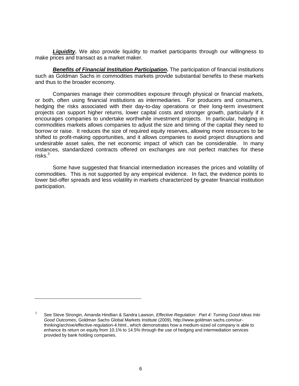**Liquidity.** We also provide liquidity to market participants through our willingness to make prices and transact as a market maker.

*Benefits of Financial Institution Participation***.** The participation of financial institutions such as Goldman Sachs in commodities markets provide substantial benefits to these markets and thus to the broader economy.

Companies manage their commodities exposure through physical or financial markets, or both, often using financial institutions as intermediaries. For producers and consumers, hedging the risks associated with their day-to-day operations or their long-term investment projects can support higher returns, lower capital costs and stronger growth, particularly if it encourages companies to undertake worthwhile investment projects. In particular, hedging in commodities markets allows companies to adjust the size and timing of the capital they need to borrow or raise. It reduces the size of required equity reserves, allowing more resources to be shifted to profit-making opportunities, and it allows companies to avoid project disruptions and undesirable asset sales, the net economic impact of which can be considerable. In many instances, standardized contracts offered on exchanges are not perfect matches for these risks.<sup>3</sup>

Some have suggested that financial intermediation increases the prices and volatility of commodities. This is not supported by any empirical evidence. In fact, the evidence points to lower bid-offer spreads and less volatility in markets characterized by greater financial institution participation.

<sup>3</sup> See Steve Strongin, Amanda Hindlian & Sandra Lawson, *Effective Regulation: Part 4: Turning Good Ideas Into Good Outcomes*, Goldman Sachs Global Markets Institute (2009), http://www.goldman sachs.com/ourthinking/archive/effective-regulation-4.html., which demonstrates how a medium-sized oil company is able to enhance its return on equity from 10.1% to 14.5% through the use of hedging and intermediation services provided by bank holding companies.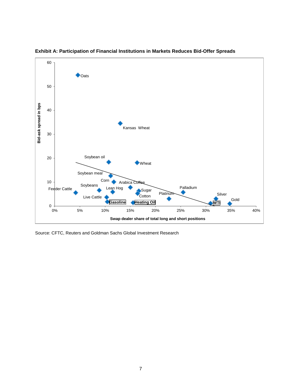



Source: CFTC, Reuters and Goldman Sachs Global Investment Research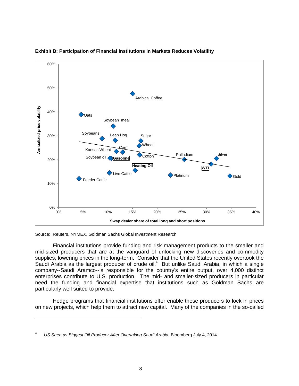

#### **Exhibit B: Participation of Financial Institutions in Markets Reduces Volatility**

Source: Reuters, NYMEX, Goldman Sachs Global Investment Research

Financial institutions provide funding and risk management products to the smaller and mid-sized producers that are at the vanguard of unlocking new discoveries and commodity supplies, lowering prices in the long-term. Consider that the United States recently overtook the Saudi Arabia as the largest producer of crude oil.<sup>4</sup> But unlike Saudi Arabia, in which a single company--Saudi Aramco--is responsible for the country's entire output, over 4,000 distinct enterprises contribute to U.S. production. The mid- and smaller-sized producers in particular need the funding and financial expertise that institutions such as Goldman Sachs are particularly well suited to provide.

Hedge programs that financial institutions offer enable these producers to lock in prices on new projects, which help them to attract new capital. Many of the companies in the so-called

<sup>4</sup> *US Seen as Biggest Oil Producer After Overtaking Saudi Arabia*, Bloomberg July 4, 2014.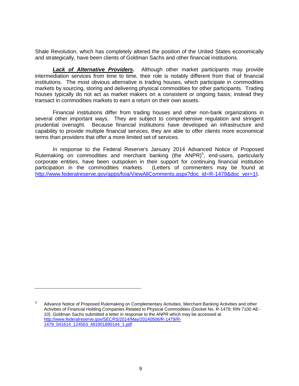Shale Revolution, which has completely altered the position of the United States economically and strategically, have been clients of Goldman Sachs and other financial institutions.

**Lack of Alternative Providers**. Although other market participants may provide intermediation services from time to time, their role is notably different from that of financial institutions. The most obvious alternative is trading houses, which participate in commodities markets by sourcing, storing and delivering physical commodities for other participants. Trading houses typically do not act as market makers on a consistent or ongoing basis; instead they transact in commodities markets to earn a return on their own assets.

Financial institutions differ from trading houses and other non-bank organizations in several other important ways. They are subject to comprehensive regulation and stringent prudential oversight. Because financial institutions have developed an infrastructure and capability to provide multiple financial services, they are able to offer clients more economical terms than providers that offer a more limited set of services.

In response to the Federal Reserve's January 2014 Advanced Notice of Proposed Rulemaking on commodities and merchant banking (the  $ANPR)^5$ , end-users, particularly corporate entities, have been outspoken in their support for continuing financial institution participation in the commodities markets. (Letters of commenters may be found at [http://www.federalreserve.gov/apps/foia/ViewAllComments.aspx?doc\\_id=R-1479&doc\\_ver=1\)](http://www.federalreserve.gov/apps/foia/ViewAllComments.aspx?doc_id=R-1479&doc_ver=1).

<sup>5</sup> Advance Notice of Proposed Rulemaking on Complementary Activities, Merchant Banking Activities and other Activities of Financial Holding Companies Related to Physical Commodities (Docket No. R-1479; RIN 7100 AE-10). Goldman Sachs submitted a letter in response to the ANPR which may be accessed at [http://www.federalreserve.gov/SECRS/2014/May/20140506/R-1479/R-](http://www.federalreserve.gov/SECRS/2014/May/20140506/R-1479/R-1479_041614_124563_481901890144_1.pdf)[1479\\_041614\\_124563\\_481901890144\\_1.pdf](http://www.federalreserve.gov/SECRS/2014/May/20140506/R-1479/R-1479_041614_124563_481901890144_1.pdf)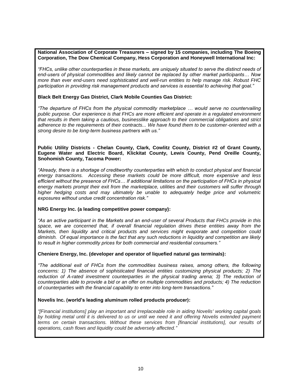#### **National Association of Corporate Treasurers – signed by 15 companies, including The Boeing Corporation, The Dow Chemical Company, Hess Corporation and Honeywell International Inc:**

*"FHCs, unlike other counterparties in these markets, are uniquely situated to serve the distinct needs of end-users of physical commodities and likely cannot be replaced by other market participants… Now more than ever end-users need sophisticated and well-run entities to help manage risk. Robust FHC participation in providing risk management products and services is essential to achieving that goal."* 

#### **Black Belt Energy Gas District, Clark Mobile Counties Gas District:**

*"The departure of FHCs from the physical commodity marketplace … would serve no countervailing public purpose. Our experience is that FHCs are more efficient and operate in a regulated environment that results in them taking a cautious, businesslike approach to their commercial obligations and strict adherence to the requirements of their contracts... We have found them to be customer-oriented with a strong desire to be long-term business partners with us."*

#### **Public Utility Districts - Chelan County, Clark, Cowlitz County, District #2 of Grant County, Eugene Water and Electric Board, Klickitat County, Lewis County, Pend Oreille County, Snohomish County, Tacoma Power:**

*"Already, there is a shortage of creditworthy counterparties with which to conduct physical and financial energy transactions. Accessing these markets could be more difficult, more expensive and less efficient without the presence of FHCs… If additional limitations on the participation of FHCs in physical energy markets prompt their exit from the marketplace, utilities and their customers will suffer through*  higher hedging costs and may ultimately be unable to adequately hedge price and volumetric *exposures without undue credit concentration risk."* 

#### **NRG Energy Inc. (a leading competitive power company):**

*"As an active participant in the Markets and an end-user of several Products that FHCs provide in this*  space, we are concerned that, if overall financial regulation drives these entities away from the *Markets, then liquidity and critical products and services might evaporate and competition could diminish. Of equal importance is the fact that any such reductions in liquidity and competition are likely to result in higher commodity prices for both commercial and residential consumers."* 

#### **Cheniere Energy, Inc. (developer and operator of liquefied natural gas terminals):**

*"The additional exit of FHCs from the commodities business raises, among others, the following concerns: 1) The absence of sophisticated financial entities customizing physical products; 2) The*  reduction of A-rated investment counterparties in the physical trading arena; 3) The reduction of *counterparties able to provide a bid or an offer on multiple commodities and products; 4) The reduction of counterparties with the financial capability to enter into long-term transactions."*

#### **Novelis Inc. (world's leading aluminum rolled products producer):**

*"[Financial institutions] play an important and irreplaceable role in aiding Novelis' working capital goals by holding metal until it is delivered to us or until we need it and offering Novelis extended payment terms on certain transactions. Without these services from [financial institutions], our results of operations, cash flows and liquidity could be adversely affected."*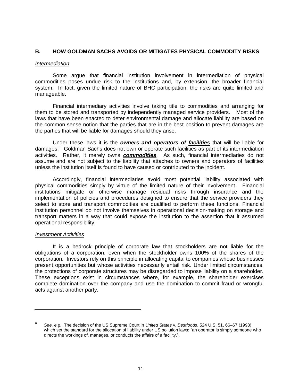## **B. HOW GOLDMAN SACHS AVOIDS OR MITIGATES PHYSICAL COMMODITY RISKS**

#### *Intermediation*

Some argue that financial institution involvement in intermediation of physical commodities poses undue risk to the institutions and, by extension, the broader financial system. In fact, given the limited nature of BHC participation, the risks are quite limited and manageable.

Financial intermediary activities involve taking title to commodities and arranging for them to be stored and transported by independently managed service providers. Most of the laws that have been enacted to deter environmental damage and allocate liability are based on the common sense notion that the parties that are in the best position to prevent damages are the parties that will be liable for damages should they arise.

Under these laws it is the *owners and operators of facilities* that will be liable for damages.<sup>6</sup> Goldman Sachs does not own or operate such facilities as part of its intermediation activities. Rather, it merely owns *commodities*. As such, financial intermediaries do not assume and are not subject to the liability that attaches to owners and operators of facilities unless the institution itself is found to have caused or contributed to the incident.

Accordingly, financial intermediaries avoid most potential liability associated with physical commodities simply by virtue of the limited nature of their involvement. Financial institutions mitigate or otherwise manage residual risks through insurance and the implementation of policies and procedures designed to ensure that the service providers they select to store and transport commodities are qualified to perform these functions. Financial institution personnel do not involve themselves in operational decision-making on storage and transport matters in a way that could expose the institution to the assertion that it assumed operational responsibility.

#### *Investment Activities*

It is a bedrock principle of corporate law that stockholders are not liable for the obligations of a corporation, even when the stockholder owns 100% of the shares of the corporation. Investors rely on this principle in allocating capital to companies whose businesses present opportunities but whose activities necessarily entail risk. Under limited circumstances, the protections of corporate structures may be disregarded to impose liability on a shareholder. These exceptions exist in circumstances where, for example, the shareholder exercises complete domination over the company and use the domination to commit fraud or wrongful acts against another party.

<sup>6</sup> *See, e.g.*, The decision of the US Supreme Court in *United States* v. *Bestfoods*, 524 U.S. 51, 66–67 (1998) which set the standard for the allocation of liability under US pollution laws: "an operator is simply someone who directs the workings of, manages, or conducts the affairs of a facility.".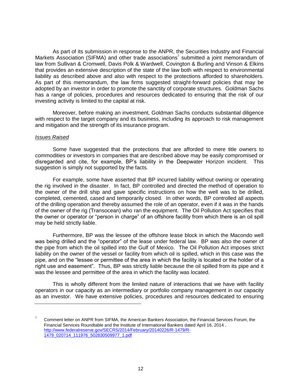As part of its submission in response to the ANPR, the Securities Industry and Financial Markets Association (SIFMA) and other trade associations<sup>7</sup> submitted a joint memorandum of law from Sullivan & Cromwell, Davis Polk & Wardwell, Covington & Burling and Vinson & Elkins that provides an extensive description of the state of the law both with respect to environmental liability as described above and also with respect to the protections afforded to shareholders. As part of this memorandum, the law firms suggested straight-forward policies that may be adopted by an investor in order to promote the sanctity of corporate structures. Goldman Sachs has a range of policies, procedures and resources dedicated to ensuring that the risk of our investing activity is limited to the capital at risk.

Moreover, before making an investment, Goldman Sachs conducts substantial diligence with respect to the target company and its business, including its approach to risk management and mitigation and the strength of its insurance program.

#### *Issues Raised*

Some have suggested that the protections that are afforded to mere title owners to commodities or investors in companies that are described above may be easily compromised or disregarded and cite, for example, BP's liability in the Deepwater Horizon incident. This suggestion is simply not supported by the facts.

For example, some have asserted that BP incurred liability without owning or operating the rig involved in the disaster. In fact, BP controlled and directed the method of operation to the owner of the drill ship and gave specific instructions on how the well was to be drilled, completed, cemented, cased and temporarily closed. In other words, BP controlled all aspects of the drilling operation and thereby assumed the role of an operator, even if it was in the hands of the owner of the rig (Transocean) who ran the equipment. The Oil Pollution Act specifies that the owner or operator or "person in charge" of an offshore facility from which there is an oil spill may be held strictly liable.

Furthermore, BP was the lessee of the offshore lease block in which the Macondo well was being drilled and the "operator" of the lease under federal law. BP was also the owner of the pipe from which the oil spilled into the Gulf of Mexico. The Oil Pollution Act imposes strict liability on the owner of the vessel or facility from which oil is spilled, which in this case was the pipe, and on the "lessee or permittee of the area in which the facility is located or the holder of a right use and easement". Thus, BP was strictly liable because the oil spilled from its pipe and it was the lessee and permittee of the area in which the facility was located.

This is wholly different from the limited nature of interactions that we have with facility operators in our capacity as an intermediary or portfolio company management in our capacity as an investor. We have extensive policies, procedures and resources dedicated to ensuring

<sup>7</sup> Comment letter on ANPR from SIFMA, the American Bankers Association, the Financial Services Forum, the Financial Services Roundtable and the Institute of International Bankers dated April 16, 2014 , [http://www.federalreserve.gov/SECRS/2014/February/20140226/R-1479/R-](http://www.federalreserve.gov/SECRS/2014/February/20140226/R-1479/R-1479_020714_111976_502830509977_1.pdf)[1479\\_020714\\_111976\\_502830509977\\_1.pdf](http://www.federalreserve.gov/SECRS/2014/February/20140226/R-1479/R-1479_020714_111976_502830509977_1.pdf)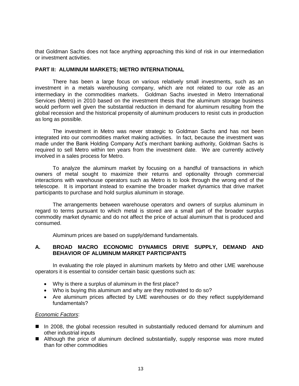that Goldman Sachs does not face anything approaching this kind of risk in our intermediation or investment activities.

#### **PART II: ALUMINUM MARKETS; METRO INTERNATIONAL**

There has been a large focus on various relatively small investments, such as an investment in a metals warehousing company, which are not related to our role as an intermediary in the commodities markets. Goldman Sachs invested in Metro International Services (Metro) in 2010 based on the investment thesis that the aluminum storage business would perform well given the substantial reduction in demand for aluminum resulting from the global recession and the historical propensity of aluminum producers to resist cuts in production as long as possible.

The investment in Metro was never strategic to Goldman Sachs and has not been integrated into our commodities market making activities. In fact, because the investment was made under the Bank Holding Company Act's merchant banking authority, Goldman Sachs is required to sell Metro within ten years from the investment date. We are currently actively involved in a sales process for Metro.

To analyze the aluminum market by focusing on a handful of transactions in which owners of metal sought to maximize their returns and optionality through commercial interactions with warehouse operators such as Metro is to look through the wrong end of the telescope. It is important instead to examine the broader market dynamics that drive market participants to purchase and hold surplus aluminum in storage.

The arrangements between warehouse operators and owners of surplus aluminum in regard to terms pursuant to which metal is stored are a small part of the broader surplus commodity market dynamic and do not affect the price of actual aluminum that is produced and consumed.

Aluminum prices are based on supply/demand fundamentals.

## **A. BROAD MACRO ECONOMIC DYNAMICS DRIVE SUPPLY, DEMAND AND BEHAVIOR OF ALUMINUM MARKET PARTICIPANTS**

In evaluating the role played in aluminum markets by Metro and other LME warehouse operators it is essential to consider certain basic questions such as:

- Why is there a surplus of aluminum in the first place?
- Who is buying this aluminum and why are they motivated to do so?
- Are aluminum prices affected by LME warehouses or do they reflect supply/demand fundamentals?

#### *Economic Factors*:

- In 2008, the global recession resulted in substantially reduced demand for aluminum and other industrial inputs
- **E** Although the price of aluminum declined substantially, supply response was more muted than for other commodities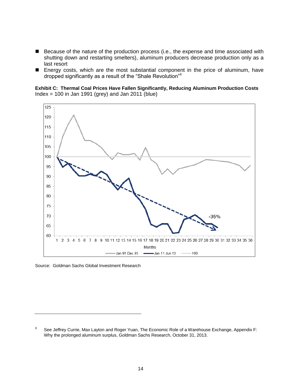- Because of the nature of the production process (i.e., the expense and time associated with shutting down and restarting smelters), aluminum producers decrease production only as a last resort
- **E** Energy costs, which are the most substantial component in the price of aluminum, have dropped significantly as a result of the "Shale Revolution"<sup>8</sup>

**Exhibit C: Thermal Coal Prices Have Fallen Significantly, Reducing Aluminum Production Costs** Index = 100 in Jan 1991 (grey) and Jan 2011 (blue)



Source: Goldman Sachs Global Investment Research

<sup>8</sup> See Jeffrey Currie, Max Layton and Roger Yuan, The Economic Role of a Warehouse Exchange, Appendix F: Why the prolonged aluminum surplus, Goldman Sachs Research, October 31, 2013.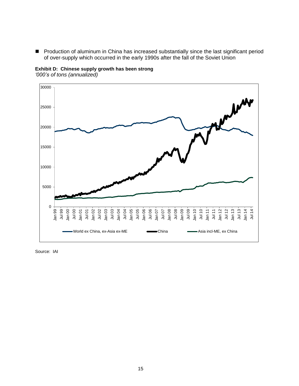**Production of aluminum in China has increased substantially since the last significant period** of over-supply which occurred in the early 1990s after the fall of the Soviet Union





Source: IAI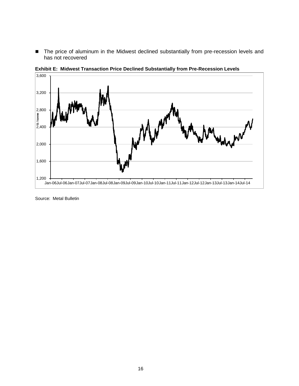■ The price of aluminum in the Midwest declined substantially from pre-recession levels and has not recovered



**Exhibit E: Midwest Transaction Price Declined Substantially from Pre-Recession Levels**

Source: Metal Bulletin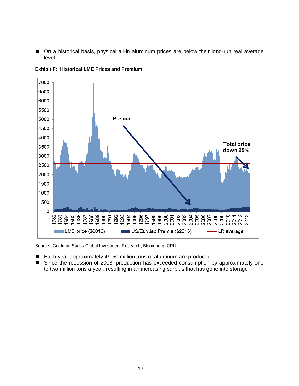■ On a historical basis, physical all-in aluminum prices are below their long-run real average level



**Exhibit F: Historical LME Prices and Premium** 

Source: Goldman Sachs Global Investment Research, Bloomberg, CRU

- Each year approximately 49-50 million tons of aluminum are produced
- Since the recession of 2008, production has exceeded consumption by approximately one to two million tons a year, resulting in an increasing surplus that has gone into storage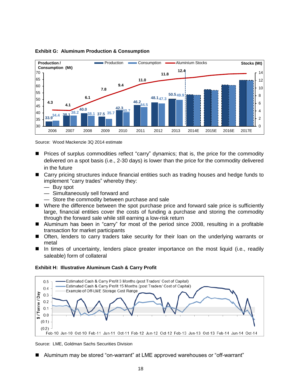

## **Exhibit G: Aluminum Production & Consumption**

Source: Wood Mackenzie 3Q 2014 estimate

- **Prices of surplus commodities reflect "carry" dynamics; that is, the price for the commodity** delivered on a spot basis (i.e., 2-30 days) is lower than the price for the commodity delivered in the future
- Carry pricing structures induce financial entities such as trading houses and hedge funds to implement "carry trades" whereby they:
	- Buy spot
	- Simultaneously sell forward and
	- Store the commodity between purchase and sale
- Where the difference between the spot purchase price and forward sale price is sufficiently large, financial entities cover the costs of funding a purchase and storing the commodity through the forward sale while still earning a low-risk return
- Aluminum has been in "carry" for most of the period since 2008, resulting in a profitable transaction for market participants
- Often, lenders to carry traders take security for their loan on the underlying warrants or metal
- In times of uncertainty, lenders place greater importance on the most liquid (i.e., readily saleable) form of collateral



#### **Exhibit H: Illustrative Aluminum Cash & Carry Profit**

Source: LME, Goldman Sachs Securities Division

Aluminum may be stored "on-warrant" at LME approved warehouses or "off-warrant"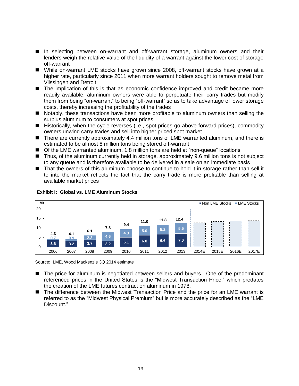- In selecting between on-warrant and off-warrant storage, aluminum owners and their lenders weigh the relative value of the liquidity of a warrant against the lower cost of storage off-warrant
- While on-warrant LME stocks have grown since 2008, off-warrant stocks have grown at a higher rate, particularly since 2011 when more warrant holders sought to remove metal from Vlissingen and Detroit
- The implication of this is that as economic confidence improved and credit became more readily available, aluminum owners were able to perpetuate their carry trades but modify them from being "on-warrant" to being "off-warrant" so as to take advantage of lower storage costs, thereby increasing the profitability of the trades
- **Notably, these transactions have been more profitable to aluminum owners than selling the** surplus aluminum to consumers at spot prices
- Historically, when the cycle reverses (i.e., spot prices go above forward prices), commodity owners unwind carry trades and sell into higher priced spot market
- There are currently approximately 4.4 million tons of LME warranted aluminum, and there is estimated to be almost 8 million tons being stored off-warrant
- Of the LME warranted aluminum, 1.8 million tons are held at "non-queue" locations
- Thus, of the aluminum currently held in storage, approximately 9.6 million tons is not subject to any queue and is therefore available to be delivered in a sale on an immediate basis
- That the owners of this aluminum choose to continue to hold it in storage rather than sell it to into the market reflects the fact that the carry trade is more profitable than selling at available market prices



**Exhibit I: Global vs. LME Aluminum Stocks**

Source: LME, Wood Mackenzie 3Q 2014 estimate

- The price for aluminum is negotiated between sellers and buyers. One of the predominant referenced prices in the United States is the "Midwest Transaction Price," which predates the creation of the LME futures contract on aluminum in 1978.
- The difference between the Midwest Transaction Price and the price for an LME warrant is referred to as the "Midwest Physical Premium" but is more accurately described as the "LME Discount."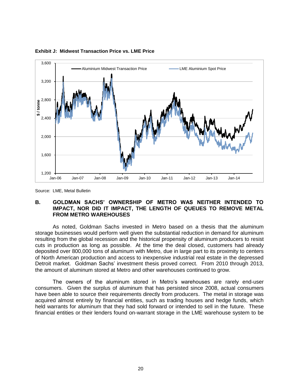

#### **Exhibit J: Midwest Transaction Price vs. LME Price**

## **B. GOLDMAN SACHS' OWNERSHIP OF METRO WAS NEITHER INTENDED TO IMPACT, NOR DID IT IMPACT, THE LENGTH OF QUEUES TO REMOVE METAL FROM METRO WAREHOUSES**

As noted, Goldman Sachs invested in Metro based on a thesis that the aluminum storage businesses would perform well given the substantial reduction in demand for aluminum resulting from the global recession and the historical propensity of aluminum producers to resist cuts in production as long as possible. At the time the deal closed, customers had already deposited over 800,000 tons of aluminum with Metro, due in large part to its proximity to centers of North American production and access to inexpensive industrial real estate in the depressed Detroit market. Goldman Sachs' investment thesis proved correct. From 2010 through 2013, the amount of aluminum stored at Metro and other warehouses continued to grow.

The owners of the aluminum stored in Metro's warehouses are rarely end-user consumers. Given the surplus of aluminum that has persisted since 2008, actual consumers have been able to source their requirements directly from producers. The metal in storage was acquired almost entirely by financial entities, such as trading houses and hedge funds, which held warrants for aluminum that they had sold forward or intended to sell in the future. These financial entities or their lenders found on-warrant storage in the LME warehouse system to be

Source: LME, Metal Bulletin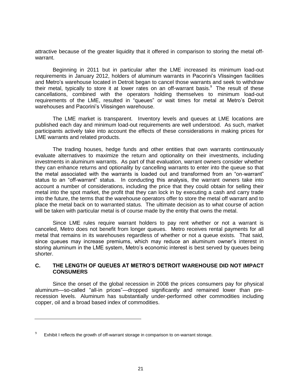attractive because of the greater liquidity that it offered in comparison to storing the metal offwarrant.

Beginning in 2011 but in particular after the LME increased its minimum load-out requirements in January 2012, holders of aluminum warrants in Pacorini's Vlissingen facilities and Metro's warehouse located in Detroit began to cancel those warrants and seek to withdraw their metal, typically to store it at lower rates on an off-warrant basis.<sup>9</sup> The result of these cancellations, combined with the operators holding themselves to minimum load-out requirements of the LME, resulted in "queues" or wait times for metal at Metro's Detroit warehouses and Pacorini's Vlissingen warehouse.

The LME market is transparent. Inventory levels and queues at LME locations are published each day and minimum load-out requirements are well understood. As such, market participants actively take into account the effects of these considerations in making prices for LME warrants and related products.

The trading houses, hedge funds and other entities that own warrants continuously evaluate alternatives to maximize the return and optionality on their investments, including investments in aluminum warrants. As part of that evaluation, warrant owners consider whether they can enhance returns and optionality by cancelling warrants to enter into the queue so that the metal associated with the warrants is loaded out and transformed from an "on-warrant" status to an "off-warrant" status. In conducting this analysis, the warrant owners take into account a number of considerations, including the price that they could obtain for selling their metal into the spot market, the profit that they can lock in by executing a cash and carry trade into the future, the terms that the warehouse operators offer to store the metal off warrant and to place the metal back on to warranted status. The ultimate decision as to what course of action will be taken with particular metal is of course made by the entity that owns the metal.

Since LME rules require warrant holders to pay rent whether or not a warrant is canceled, Metro does not benefit from longer queues. Metro receives rental payments for all metal that remains in its warehouses regardless of whether or not a queue exists. That said, since queues may increase premiums, which may reduce an aluminum owner's interest in storing aluminum in the LME system, Metro's economic interest is best served by queues being shorter.

## **C. THE LENGTH OF QUEUES AT METRO'S DETROIT WAREHOUSE DID NOT IMPACT CONSUMERS**

Since the onset of the global recession in 2008 the prices consumers pay for physical aluminum—so-called "all-in prices"—dropped significantly and remained lower than prerecession levels. Aluminum has substantially under-performed other commodities including copper, oil and a broad based index of commodities.

<sup>9</sup> Exhibit I reflects the growth of off-warrant storage in comparison to on-warrant storage.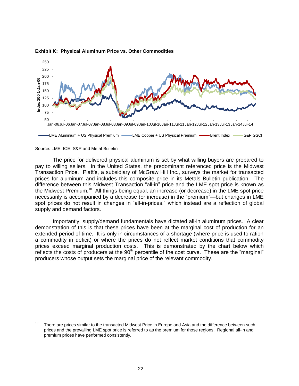

#### **Exhibit K: Physical Aluminum Price vs. Other Commodities**

Source: LME, ICE, S&P and Metal Bulletin

The price for delivered physical aluminum is set by what willing buyers are prepared to pay to willing sellers. In the United States, the predominant referenced price is the Midwest Transaction Price. Platt's, a subsidiary of McGraw Hill Inc., surveys the market for transacted prices for aluminum and includes this composite price in its Metals Bulletin publication. The difference between this Midwest Transaction "all-in" price and the LME spot price is known as the Midwest Premium.<sup>10</sup> All things being equal, an increase (or decrease) in the LME spot price necessarily is accompanied by a decrease (or increase) in the "premium"—but changes in LME spot prices do not result in changes in "all-in-prices," which instead are a reflection of global supply and demand factors.

Importantly, supply/demand fundamentals have dictated all-in aluminum prices. A clear demonstration of this is that these prices have been at the marginal cost of production for an extended period of time. It is only in circumstances of a shortage (where price is used to ration a commodity in deficit) or where the prices do not reflect market conditions that commodity prices exceed marginal production costs. This is demonstrated by the chart below which reflects the costs of producers at the  $90<sup>th</sup>$  percentile of the cost curve. These are the "marginal" producers whose output sets the marginal price of the relevant commodity.

 $10$  There are prices similar to the transacted Midwest Price in Europe and Asia and the difference between such prices and the prevailing LME spot price is referred to as the premium for those regions. Regional all-in and premium prices have performed consistently.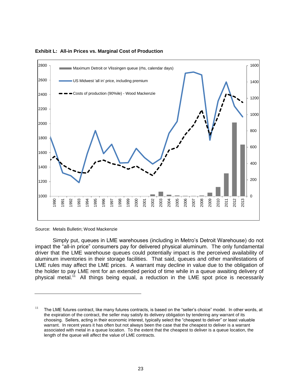

**Exhibit L: All-in Prices vs. Marginal Cost of Production**

Source: Metals Bulletin; Wood Mackenzie

Simply put, queues in LME warehouses (including in Metro's Detroit Warehouse) do not impact the "all-in price" consumers pay for delivered physical aluminum. The only fundamental driver that the LME warehouse queues could potentially impact is the perceived availability of aluminum inventories in their storage facilities. That said, queues and other manifestations of LME rules may affect the LME prices. A warrant may decline in value due to the obligation of the holder to pay LME rent for an extended period of time while in a queue awaiting delivery of physical metal.<sup>11</sup> All things being equal, a reduction in the LME spot price is necessarily

 The LME futures contract, like many futures contracts, is based on the "seller's choice" model. In other words, at the expiration of the contract, the seller may satisfy its delivery obligation by tendering any warrant of its choosing. Sellers, acting in their economic interest, typically select the "cheapest to deliver" or least valuable warrant. In recent years it has often but not always been the case that the cheapest to deliver is a warrant associated with metal in a queue location. To the extent that the cheapest to deliver is a queue location, the length of the queue will affect the value of LME contracts.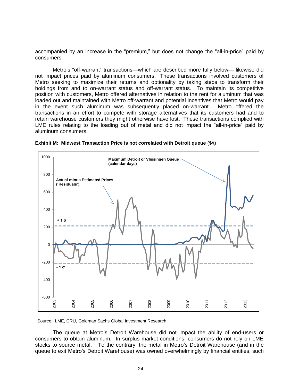accompanied by an increase in the "premium," but does not change the "all-in-price" paid by consumers.

Metro's "off-warrant" transactions—which are described more fully below— likewise did not impact prices paid by aluminum consumers. These transactions involved customers of Metro seeking to maximize their returns and optionality by taking steps to transform their holdings from and to on-warrant status and off-warrant status. To maintain its competitive position with customers, Metro offered alternatives in relation to the rent for aluminum that was loaded out and maintained with Metro off-warrant and potential incentives that Metro would pay in the event such aluminum was subsequently placed on-warrant. Metro offered the transactions in an effort to compete with storage alternatives that its customers had and to retain warehouse customers they might otherwise have lost. These transactions complied with LME rules relating to the loading out of metal and did not impact the "all-in-price" paid by aluminum consumers.



**Exhibit M: Midwest Transaction Price is not correlated with Detroit queue** (\$/t)

Source: LME, CRU, Goldman Sachs Global Investment Research

The queue at Metro's Detroit Warehouse did not impact the ability of end-users or consumers to obtain aluminum. In surplus market conditions, consumers do not rely on LME stocks to source metal. To the contrary, the metal in Metro's Detroit Warehouse (and in the queue to exit Metro's Detroit Warehouse) was owned overwhelmingly by financial entities, such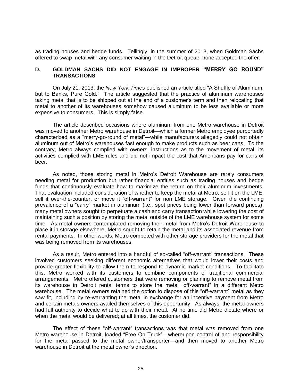as trading houses and hedge funds. Tellingly, in the summer of 2013, when Goldman Sachs offered to swap metal with any consumer waiting in the Detroit queue, none accepted the offer.

## **D. GOLDMAN SACHS DID NOT ENGAGE IN IMPROPER "MERRY GO ROUND" TRANSACTIONS**

On July 21, 2013, the *New York Times* published an article titled "A Shuffle of Aluminum, but to Banks, Pure Gold." The article suggested that the practice of aluminum warehouses taking metal that is to be shipped out at the end of a customer's term and then relocating that metal to another of its warehouses somehow caused aluminum to be less available or more expensive to consumers. This is simply false.

The article described occasions where aluminum from one Metro warehouse in Detroit was moved to another Metro warehouse in Detroit—which a former Metro employee purportedly characterized as a "merry-go-round of metal"—while manufacturers allegedly could not obtain aluminum out of Metro's warehouses fast enough to make products such as beer cans. To the contrary, Metro always complied with owners' instructions as to the movement of metal, its activities complied with LME rules and did not impact the cost that Americans pay for cans of beer.

As noted, those storing metal in Metro's Detroit Warehouse are rarely consumers needing metal for production but rather financial entities such as trading houses and hedge funds that continuously evaluate how to maximize the return on their aluminum investments. That evaluation included consideration of whether to keep the metal at Metro, sell it on the LME, sell it over-the-counter, or move it "off-warrant" for non LME storage. Given the continuing prevalence of a "carry" market in aluminum (i.e., spot prices being lower than forward prices), many metal owners sought to perpetuate a cash and carry transaction while lowering the cost of maintaining such a position by storing the metal outside of the LME warehouse system for some time. As metal owners contemplated removing their metal from Metro's Detroit Warehouse to place it in storage elsewhere, Metro sought to retain the metal and its associated revenue from rental payments. In other words, Metro competed with other storage providers for the metal that was being removed from its warehouses.

As a result, Metro entered into a handful of so-called "off-warrant" transactions. These involved customers seeking different economic alternatives that would lower their costs and provide greater flexibility to allow them to respond to dynamic market conditions. To facilitate this, Metro worked with its customers to combine components of traditional commercial arrangements. Metro offered customers that were removing or planning to remove metal from its warehouse in Detroit rental terms to store the metal "off-warrant" in a different Metro warehouse. The metal owners retained the option to dispose of this "off-warrant" metal as they saw fit, including by re-warranting the metal in exchange for an incentive payment from Metro and certain metals owners availed themselves of this opportunity. As always, the metal owners had full authority to decide what to do with their metal. At no time did Metro dictate where or when the metal would be delivered; at all times, the customer did.

The effect of these "off-warrant" transactions was that metal was removed from one Metro warehouse in Detroit, loaded "Free On Truck"—whereupon control of and responsibility for the metal passed to the metal owner/transporter—and then moved to another Metro warehouse in Detroit at the metal owner's direction.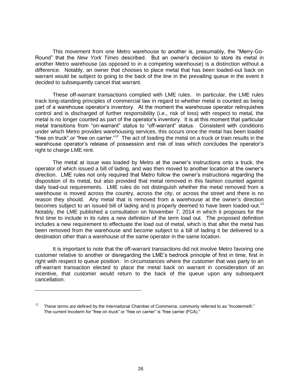This movement from one Metro warehouse to another is, presumably, the "Merry-Go-Round" that the *New York Times* described. But an owner's decision to store its metal in another Metro warehouse (as opposed to in a competing warehouse) is a distinction without a difference. Notably, an owner that chooses to place metal that has been loaded-out back on warrant would be subject to going to the back of the line in the prevailing queue in the event it decided to subsequently cancel that warrant.

These off-warrant transactions complied with LME rules. In particular, the LME rules track long-standing principles of commercial law in regard to whether metal is counted as being part of a warehouse operator's inventory. At the moment the warehouse operator relinquishes control and is discharged of further responsibility (i.e., risk of loss) with respect to metal, the metal is no longer counted as part of the operator's inventory. It is at this moment that particular metal transitions from "on-warrant" status to "off-warrant" status. Consistent with conditions under which Metro provides warehousing services, this occurs once the metal has been loaded "free on truck" or "free on carrier."<sup>12</sup> The act of loading the metal on a truck or train results in the warehouse operator's release of possession and risk of loss which concludes the operator's right to charge LME rent.

The metal at issue was loaded by Metro at the owner's instructions onto a truck, the operator of which issued a bill of lading, and was then moved to another location at the owner's direction. LME rules not only required that Metro follow the owner's instructions regarding the disposition of its metal, but also provided that metal removed in this fashion counted against daily load-out requirements. LME rules do not distinguish whether the metal removed from a warehouse is moved across the country, across the city, or across the street and there is no reason they should. Any metal that is removed from a warehouse at the owner's direction becomes subject to an issued bill of lading and is properly deemed to have been loaded-out.<sup>13</sup> Notably, the LME published a consultation on November 7, 2014 in which it proposes for the first time to include in its rules a new definition of the term load out. The proposed definition includes a new requirement to effectuate the load out of metal, which is that after the metal has been removed from the warehouse and become subject to a bill of lading it be delivered to a destination other than a warehouse of the same operator in the same location.

It is important to note that the off-warrant transactions did not involve Metro favoring one customer relative to another or disregarding the LME's bedrock principle of first in time, first in right with respect to queue position. In circumstances where the customer that was party to an off-warrant transaction elected to place the metal back on warrant in consideration of an incentive, that customer would return to the back of the queue upon any subsequent cancellation.

<sup>&</sup>lt;sup>12</sup> These terms are defined by the International Chamber of Commerce, commonly referred to as "Incoterms®." The current Incoterm for "free on truck" or "free on carrier" is "free carrier (FCA)."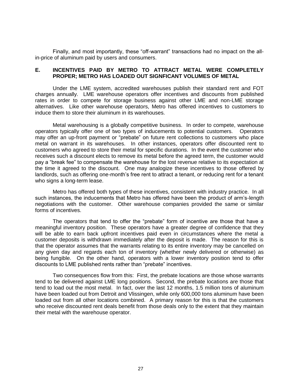Finally, and most importantly, these "off-warrant" transactions had no impact on the allin-price of aluminum paid by users and consumers.

#### **E. INCENTIVES PAID BY METRO TO ATTRACT METAL WERE COMPLETELY PROPER; METRO HAS LOADED OUT SIGNFICANT VOLUMES OF METAL**

Under the LME system, accredited warehouses publish their standard rent and FOT charges annually. LME warehouse operators offer incentives and discounts from published rates in order to compete for storage business against other LME and non-LME storage alternatives. Like other warehouse operators, Metro has offered incentives to customers to induce them to store their aluminum in its warehouses.

Metal warehousing is a globally competitive business. In order to compete, warehouse operators typically offer one of two types of inducements to potential customers. Operators may offer an up-front payment or "prebate" on future rent collections to customers who place metal on warrant in its warehouses. In other instances, operators offer discounted rent to customers who agreed to store their metal for specific durations. In the event the customer who receives such a discount elects to remove its metal before the agreed term, the customer would pay a "break fee" to compensate the warehouse for the lost revenue relative to its expectation at the time it agreed to the discount. One may analogize these incentives to those offered by landlords, such as offering one-month's free rent to attract a tenant, or reducing rent for a tenant who signs a long-term lease.

Metro has offered both types of these incentives, consistent with industry practice. In all such instances, the inducements that Metro has offered have been the product of arm's-length negotiations with the customer. Other warehouse companies provided the same or similar forms of incentives.

The operators that tend to offer the "prebate" form of incentive are those that have a meaningful inventory position. These operators have a greater degree of confidence that they will be able to earn back upfront incentives paid even in circumstances where the metal a customer deposits is withdrawn immediately after the deposit is made. The reason for this is that the operator assumes that the warrants relating to its entire inventory may be cancelled on any given day and regards each ton of inventory (whether newly delivered or otherwise) as being fungible. On the other hand, operators with a lower inventory position tend to offer discounts to LME published rents rather than "prebate" incentives.

Two consequences flow from this: First, the prebate locations are those whose warrants tend to be delivered against LME long positions. Second, the prebate locations are those that tend to load out the most metal. In fact, over the last 12 months, 1.5 million tons of aluminum have been loaded out from Detroit and Vlissingen, while only 600,000 tons aluminum have been loaded out from all other locations combined. A primary reason for this is that the customers who receive discounted rent deals benefit from those deals only to the extent that they maintain their metal with the warehouse operator.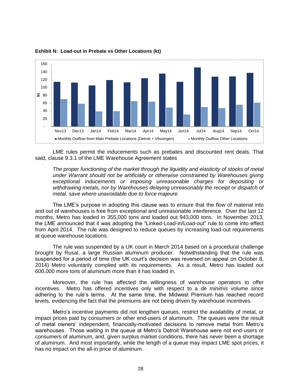

**Exhibit N: Load-out in Prebate vs Other Locations (kt)**

LME rules permit the inducements such as prebates and discounted rent deals. That said, clause 9.3.1 of the LME Warehouse Agreement states

*The proper functioning of the market through the liquidity and elasticity of stocks of metal under Warrant should not be artificially or otherwise constrained by Warehouses giving exceptional inducements or imposing unreasonable charges for depositing or withdrawing metals, nor by Warehouses delaying unreasonably the receipt or dispatch of metal, save where unavoidable due to force majeure.* 

The LME's purpose in adopting this clause was to ensure that the flow of material into and out of warehouses is free from exceptional and unreasonable interference. Over the last 12 months, Metro has loaded in 355,000 tons and loaded out 943,000 tons. In November 2013, the LME announced that it was adopting the "Linked-Load-in/Load-out" rule to come into effect from April 2014. The rule was designed to reduce queues by increasing load-out requirements at queue warehouse locations.

The rule was suspended by a UK court in March 2014 based on a procedural challenge brought by Rusal, a large Russian aluminum producer. Notwithstanding that the rule was suspended for a period of time (the UK court's decision was reversed on appeal on October 8, 2014) Metro voluntarily complied with its requirements. As a result, Metro has loaded out 600,000 more tons of aluminum more than it has loaded in.

Moreover, the rule has affected the willingness of warehouse operators to offer incentives. Metro has offered incentives only with respect to a *de minimis* volume since adhering to the rule's terms. At the same time, the Midwest Premium has reached record levels, evidencing the fact that the premiums are not being driven by warehouse incentives.

Metro's incentive payments did not lengthen queues, restrict the availability of metal, or impact prices paid by consumers or other end-users of aluminum. The queues were the result of metal owners' independent, financially-motivated decisions to remove metal from Metro's warehouses. Those waiting in the queue at Metro's Detroit Warehouse were not end-users or consumers of aluminum, and, given surplus market conditions, there has never been a shortage of aluminum. And most importantly, while the length of a queue may impact LME spot prices, it has no impact on the all-in price of aluminum.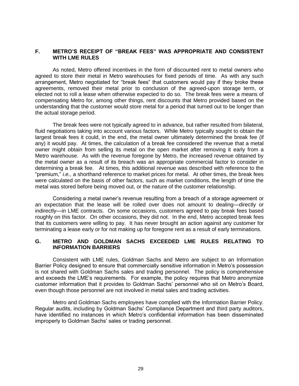## **F. METRO'S RECEIPT OF "BREAK FEES" WAS APPROPRIATE AND CONSISTENT WITH LME RULES**

As noted, Metro offered incentives in the form of discounted rent to metal owners who agreed to store their metal in Metro warehouses for fixed periods of time. As with any such arrangement, Metro negotiated for "break fees" that customers would pay if they broke these agreements, removed their metal prior to conclusion of the agreed-upon storage term, or elected not to roll a lease when otherwise expected to do so. The break fees were a means of compensating Metro for, among other things, rent discounts that Metro provided based on the understanding that the customer would store metal for a period that turned out to be longer than the actual storage period.

The break fees were not typically agreed to in advance, but rather resulted from bilateral, fluid negotiations taking into account various factors. While Metro typically sought to obtain the largest break fees it could, in the end, the metal owner ultimately determined the break fee (if any) it would pay. At times, the calculation of a break fee considered the revenue that a metal owner might obtain from selling its metal on the open market after removing it early from a Metro warehouse. As with the revenue foregone by Metro, the increased revenue obtained by the metal owner as a result of its breach was an appropriate commercial factor to consider in determining a break fee. At times, this additional revenue was described with reference to the "premium," *i.e.,* a shorthand reference to market prices for metal. At other times, the break fees were calculated on the basis of other factors, such as market conditions, the length of time the metal was stored before being moved out, or the nature of the customer relationship.

Considering a metal owner's revenue resulting from a breach of a storage agreement or an expectation that the lease will be rolled over does not amount to dealing—directly or indirectly—in LME contracts. On some occasions, customers agreed to pay break fees based roughly on this factor. On other occasions, they did not. In the end, Metro accepted break fees that its customers were willing to pay. It has never brought an action against any customer for terminating a lease early or for not making up for foregone rent as a result of early terminations.

## **G. METRO AND GOLDMAN SACHS EXCEEDED LME RULES RELATING TO INFORMATION BARRIERS**

Consistent with LME rules, Goldman Sachs and Metro are subject to an Information Barrier Policy designed to ensure that commercially sensitive information in Metro's possession is not shared with Goldman Sachs sales and trading personnel. The policy is comprehensive and exceeds the LME's requirements. For example, the policy requires that Metro anonymize customer information that it provides to Goldman Sachs' personnel who sit on Metro's Board, even though those personnel are not involved in metal sales and trading activities.

Metro and Goldman Sachs employees have complied with the Information Barrier Policy. Regular audits, including by Goldman Sachs' Compliance Department and third party auditors, have identified no instances in which Metro's confidential information has been disseminated improperly to Goldman Sachs' sales or trading personnel.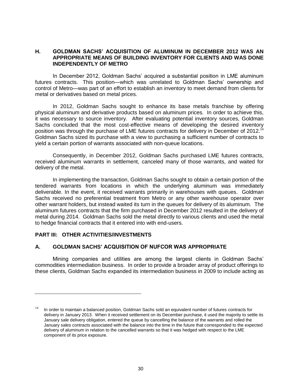## **H. GOLDMAN SACHS' ACQUISITION OF ALUMINUM IN DECEMBER 2012 WAS AN APPROPRIATE MEANS OF BUILDING INVENTORY FOR CLIENTS AND WAS DONE INDEPENDENTLY OF METRO**

In December 2012, Goldman Sachs' acquired a substantial position in LME aluminum futures contracts. This position—which was unrelated to Goldman Sachs' ownership and control of Metro—was part of an effort to establish an inventory to meet demand from clients for metal or derivatives based on metal prices.

In 2012, Goldman Sachs sought to enhance its base metals franchise by offering physical aluminum and derivative products based on aluminum prices. In order to achieve this, it was necessary to source inventory. After evaluating potential inventory sources, Goldman Sachs concluded that the most cost-effective means of developing the desired inventory position was through the purchase of LME futures contracts for delivery in December of 2012.<sup>14</sup> Goldman Sachs sized its purchase with a view to purchasing a sufficient number of contracts to yield a certain portion of warrants associated with non-queue locations.

Consequently, in December 2012, Goldman Sachs purchased LME futures contracts, received aluminum warrants in settlement, canceled many of those warrants, and waited for delivery of the metal.

In implementing the transaction, Goldman Sachs sought to obtain a certain portion of the tendered warrants from locations in which the underlying aluminum was immediately deliverable. In the event, it received warrants primarily in warehouses with queues. Goldman Sachs received no preferential treatment from Metro or any other warehouse operator over other warrant holders, but instead waited its turn in the queues for delivery of its aluminum. The aluminum futures contracts that the firm purchased in December 2012 resulted in the delivery of metal during 2014. Goldman Sachs sold the metal directly to various clients and used the metal to hedge financial contracts that it entered into with end-users.

## **PART III: OTHER ACTIVITIES/INVESTMENTS**

## **A. GOLDMAN SACHS' ACQUISITION OF NUFCOR WAS APPROPRIATE**

Mining companies and utilities are among the largest clients in Goldman Sachs' commodities intermediation business. In order to provide a broader array of product offerings to these clients, Goldman Sachs expanded its intermediation business in 2009 to include acting as

 $14$  In order to maintain a balanced position, Goldman Sachs sold an equivalent number of futures contracts for delivery in January 2013. When it received settlement on its December purchase, it used the majority to settle its January sale delivery obligation, entered the queue by cancelling the balance of the warrants and rolled the January sales contracts associated with the balance into the time in the future that corresponded to the expected delivery of aluminum in relation to the cancelled warrants so that it was hedged with respect to the LME component of its price exposure.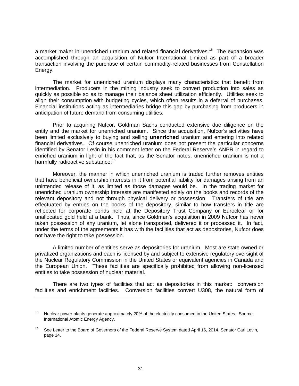a market maker in unenriched uranium and related financial derivatives.<sup>15</sup> The expansion was accomplished through an acquisition of Nufcor International Limited as part of a broader transaction involving the purchase of certain commodity-related businesses from Constellation Energy.

The market for unenriched uranium displays many characteristics that benefit from intermediation. Producers in the mining industry seek to convert production into sales as quickly as possible so as to manage their balance sheet utilization efficiently. Utilities seek to align their consumption with budgeting cycles, which often results in a deferral of purchases. Financial institutions acting as intermediaries bridge this gap by purchasing from producers in anticipation of future demand from consuming utilities.

Prior to acquiring Nufcor, Goldman Sachs conducted extensive due diligence on the entity and the market for unenriched uranium. Since the acquisition, Nufcor's activities have been limited exclusively to buying and selling **unenriched** uranium and entering into related financial derivatives. Of course unenriched uranium does not present the particular concerns identified by Senator Levin in his comment letter on the Federal Reserve's ANPR in regard to enriched uranium in light of the fact that, as the Senator notes, unenriched uranium is not a harmfully radioactive substance.<sup>16</sup>

Moreover, the manner in which unenriched uranium is traded further removes entities that have beneficial ownership interests in it from potential liability for damages arising from an unintended release of it, as limited as those damages would be. In the trading market for unenriched uranium ownership interests are manifested solely on the books and records of the relevant depository and not through physical delivery or possession. Transfers of title are effectuated by entries on the books of the depository, similar to how transfers in title are reflected for corporate bonds held at the Depository Trust Company or Euroclear or for unallocated gold held at a bank. Thus, since Goldman's acquisition in 2009 Nufcor has never taken possession of any uranium, let alone transported, delivered it or processed it. In fact, under the terms of the agreements it has with the facilities that act as depositories, Nufcor does not have the right to take possession.

A limited number of entities serve as depositories for uranium. Most are state owned or privatized organizations and each is licensed by and subject to extensive regulatory oversight of the Nuclear Regulatory Commission in the United States or equivalent agencies in Canada and the European Union. These facilities are specifically prohibited from allowing non-licensed entities to take possession of nuclear material.

There are two types of facilities that act as depositories in this market: conversion facilities and enrichment facilities. Conversion facilities convert U308, the natural form of

<sup>&</sup>lt;sup>15</sup> Nuclear power plants generate approximately 20% of the electricity consumed in the United States. Source: International Atomic Energy Agency.

See Letter to the Board of Governors of the Federal Reserve System dated April 16, 2014, Senator Carl Levin, page 14.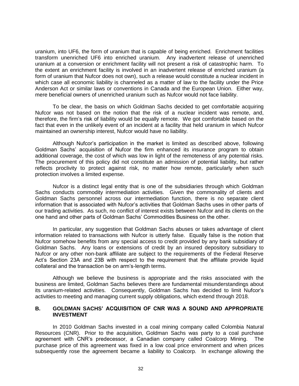uranium, into UF6, the form of uranium that is capable of being enriched. Enrichment facilities transform unenriched UF6 into enriched uranium. Any inadvertent release of unenriched uranium at a conversion or enrichment facility will not present a risk of catastrophic harm. To the extent an enrichment facility is involved in an inadvertent release of enriched uranium (a form of uranium that Nufcor does not own), such a release would constitute a nuclear incident in which case all economic liability is channeled as a matter of law to the facility under the Price Anderson Act or similar laws or conventions in Canada and the European Union. Either way, mere beneficial owners of unenriched uranium such as Nufcor would not face liability.

To be clear, the basis on which Goldman Sachs decided to get comfortable acquiring Nufcor was not based on the notion that the risk of a nuclear incident was remote, and, therefore, the firm's risk of liability would be equally remote. We got comfortable based on the fact that even in the unlikely event of an incident at a facility that held uranium in which Nufcor maintained an ownership interest, Nufcor would have no liability.

Although Nufcor's participation in the market is limited as described above, following Goldman Sachs' acquisition of Nufcor the firm enhanced its insurance program to obtain additional coverage, the cost of which was low in light of the remoteness of any potential risks. The procurement of this policy did not constitute an admission of potential liability, but rather reflects proclivity to protect against risk, no matter how remote, particularly when such protection involves a limited expense.

Nufcor is a distinct legal entity that is one of the subsidiaries through which Goldman Sachs conducts commodity intermediation activities. Given the commonality of clients and Goldman Sachs personnel across our intermediation function, there is no separate client information that is associated with Nufcor's activities that Goldman Sachs uses in other parts of our trading activities. As such, no conflict of interest exists between Nufcor and its clients on the one hand and other parts of Goldman Sachs' Commodities Business on the other.

In particular, any suggestion that Goldman Sachs abuses or takes advantage of client information related to transactions with Nufcor is utterly false. Equally false is the notion that Nufcor somehow benefits from any special access to credit provided by any bank subsidiary of Goldman Sachs. Any loans or extensions of credit by an insured depository subsidiary to Nufcor or any other non-bank affiliate are subject to the requirements of the Federal Reserve Act's Section 23A and 23B with respect to the requirement that the affiliate provide liquid collateral and the transaction be on arm's-length terms.

Although we believe the business is appropriate and the risks associated with the business are limited, Goldman Sachs believes there are fundamental misunderstandings about its uranium-related activities. Consequently, Goldman Sachs has decided to limit Nufcor's activities to meeting and managing current supply obligations, which extend through 2018.

## **B. GOLDMAN SACHS' ACQUISITION OF CNR WAS A SOUND AND APPROPRIATE INVESTMENT**

In 2010 Goldman Sachs invested in a coal mining company called Colombia Natural Resources (CNR). Prior to the acquisition, Goldman Sachs was party to a coal purchase agreement with CNR's predecessor, a Canadian company called Coalcorp Mining. The purchase price of this agreement was fixed in a low coal price environment and when prices subsequently rose the agreement became a liability to Coalcorp. In exchange allowing the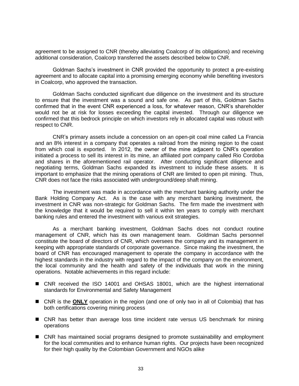agreement to be assigned to CNR (thereby alleviating Coalcorp of its obligations) and receiving additional consideration, Coalcorp transferred the assets described below to CNR.

Goldman Sachs's investment in CNR provided the opportunity to protect a pre-existing agreement and to allocate capital into a promising emerging economy while benefiting investors in Coalcorp, who approved the transaction.

Goldman Sachs conducted significant due diligence on the investment and its structure to ensure that the investment was a sound and safe one. As part of this, Goldman Sachs confirmed that in the event CNR experienced a loss, for whatever reason, CNR's shareholder would not be at risk for losses exceeding the capital invested. Through our diligence we confirmed that this bedrock principle on which investors rely in allocated capital was robust with respect to CNR.

CNR's primary assets include a concession on an open-pit coal mine called La Francia and an 8% interest in a company that operates a railroad from the mining region to the coast from which coal is exported. In 2012, the owner of the mine adjacent to CNR's operation initiated a process to sell its interest in its mine, an affiliated port company called Rio Cordoba and shares in the aforementioned rail operator. After conducting significant diligence and negotiating terms, Goldman Sachs expanded its investment to include these assets. It is important to emphasize that the mining operations of CNR are limited to open pit mining. Thus, CNR does not face the risks associated with underground/deep shaft mining.

The investment was made in accordance with the merchant banking authority under the Bank Holding Company Act. As is the case with any merchant banking investment, the investment in CNR was non-strategic for Goldman Sachs. The firm made the investment with the knowledge that it would be required to sell it within ten years to comply with merchant banking rules and entered the investment with various exit strategies.

As a merchant banking investment, Goldman Sachs does not conduct routine management of CNR, which has its own management team. Goldman Sachs personnel constitute the board of directors of CNR, which oversees the company and its management in keeping with appropriate standards of corporate governance. Since making the investment, the board of CNR has encouraged management to operate the company in accordance with the highest standards in the industry with regard to the impact of the company on the environment, the local community and the health and safety of the individuals that work in the mining operations. Notable achievements in this regard include:

- CNR received the ISO 14001 and OHSAS 18001, which are the highest international standards for Environmental and Safety Management
- CNR is the ONLY operation in the region (and one of only two in all of Colombia) that has both certifications covering mining process
- CNR has better than average loss time incident rate versus US benchmark for mining operations
- CNR has maintained social programs designed to promote sustainability and employment for the local communities and to enhance human rights. Our projects have been recognized for their high quality by the Colombian Government and NGOs alike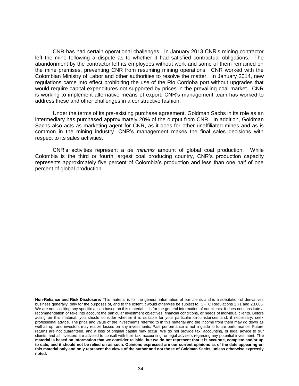CNR has had certain operational challenges. In January 2013 CNR's mining contractor left the mine following a dispute as to whether it had satisfied contractual obligations. The abandonment by the contractor left its employees without work and some of them remained on the mine premises, preventing CNR from resuming mining operations. CNR worked with the Colombian Ministry of Labor and other authorities to resolve the matter. In January 2014, new regulations came into effect prohibiting the use of the Rio Cordoba port without upgrades that would require capital expenditures not supported by prices in the prevailing coal market. CNR is working to implement alternative means of export. CNR's management team has worked to address these and other challenges in a constructive fashion.

Under the terms of its pre-existing purchase agreement, Goldman Sachs in its role as an intermediary has purchased approximately 20% of the output from CNR. In addition, Goldman Sachs also acts as marketing agent for CNR, as it does for other unaffiliated mines and as is common in the mining industry. CNR's management makes the final sales decisions with respect to its sales activities.

CNR's activities represent a *de minimis* amount of global coal production. While Colombia is the third or fourth largest coal producing country, CNR's production capacity represents approximately five percent of Colombia's production and less than one half of one percent of global production.

**Non-Reliance and Risk Disclosure:** This material is for the general information of our clients and is a solicitation of derivatives business generally, only for the purposes of, and to the extent it would otherwise be subject to, CFTC Regulations 1.71 and 23.605. We are not soliciting any specific action based on this material. It is for the general information of our clients. It does not constitute a recommendation or take into account the particular investment objectives, financial conditions, or needs of individual clients. Before acting on this material, you should consider whether it is suitable for your particular circumstances and, if necessary, seek professional advice. The price and value of the investments referred to in this material and the income from them may go down as well as up, and investors may realize losses on any investments. Past performance is not a guide to future performance. Future returns are not guaranteed, and a loss of original capital may occur. We do not provide tax, accounting, or legal advice to our clients, and all investors are advised to consult with their tax, accounting, or legal advisers regarding any potential investment. **The material is based on information that we consider reliable, but we do not represent that it is accurate, complete and/or up to date, and it should not be relied on as such. Opinions expressed are our current opinions as of the date appearing on this material only and only represent the views of the author and not those of Goldman Sachs, unless otherwise expressly noted.**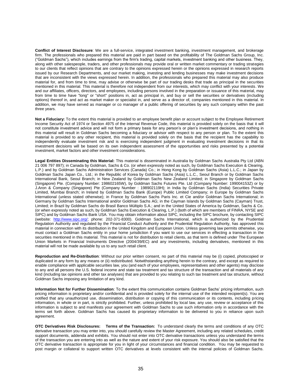**Conflict of Interest Disclosure**: We are a full-service, integrated investment banking, investment management, and brokerage firm. The professionals who prepared this material are paid in part based on the profitability of The Goldman Sachs Group, Inc. ("Goldman Sachs"), which includes earnings from the firm's trading, capital markets, investment banking and other business. They, along with other salespeople, traders, and other professionals may provide oral or written market commentary or trading strategies to our clients that reflect opinions that are contrary to the opinions expressed herein or the opinions expressed in research reports issued by our Research Departments, and our market making, investing and lending businesses may make investment decisions that are inconsistent with the views expressed herein. In addition, the professionals who prepared this material may also produce material for, and from time to time, may advise or otherwise be part of our trading desks that trade as principal in the securities mentioned in this material. This material is therefore not independent from our interests, which may conflict with your interests. We and our affiliates, officers, directors, and employees, including persons involved in the preparation or issuance of this material, may from time to time have "long" or "short" positions in, act as principal in, and buy or sell the securities or derivatives (including options) thereof in, and act as market maker or specialist in, and serve as a director of, companies mentioned in this material. In addition, we may have served as manager or co manager of a public offering of securities by any such company within the past three years.

Not a Fiduciary: To the extent this material is provided to an employee benefit plan or account subject to the Employee Retirement Income Security Act of 1974 or Section 4975 of the Internal Revenue Code, this material is provided solely on the basis that it will not constitute investment advice and will not form a primary basis for any person's or plan's investment decisions, and nothing in this material will result in Goldman Sachs becoming a fiduciary or advisor with respect to any person or plan. To the extent this material is provided to any other recipient, this material is provided solely on the basis that the recipient has the capability to independently evaluate investment risk and is exercising independent judgment in evaluating investment decisions in that its investment decisions will be based on its own independent assessment of the opportunities and risks presented by a potential investment, market factors and other investment considerations.

**Legal Entities Disseminating this Material:** This material is disseminated in Australia by Goldman Sachs Australia Pty Ltd (ABN 21 006 797 897); in Canada by Goldman, Sachs & Co. (or when expressly noted as such, by Goldman Sachs Execution & Clearing, L.P.) and by Goldman Sachs Administration Services (Canada) Co.; in Hong Kong by Goldman Sachs (Asia) L.L.C.; in Japan by Goldman Sachs Japan Co., Ltd.; in the Republic of Korea by Goldman Sachs (Asia) L.L.C., Seoul Branch or by Goldman Sachs International Bank, Seoul Branch; in New Zealand by Goldman Sachs New Zealand Limited; in Singapore by Goldman Sachs (Singapore) Pte. (Company Number: 198602165W), by Goldman Sachs Futures Pte. Ltd (Company Number: 199004153Z) or by J.Aron & Company (Singapore) Pte (Company Number : 198902119H); in India by Goldman Sachs (India) Securities Private Limited, Mumbai Branch; in Ireland by Goldman Sachs Bank (Europe) Public Limited Company; in Europe by Goldman Sachs International (unless stated otherwise); in France by Goldman Sachs Paris Inc. et Cie and/or Goldman Sachs International; in Germany by Goldman Sachs International and/or Goldman Sachs AG; in the Cayman Islands by Goldman Sachs (Cayman) Trust, Limited; in Brazil by Goldman Sachs do Brasil Banco Múltiplo S.A.; and in the United States of America by Goldman, Sachs & Co. (or when expressly noted as such, by Goldman Sachs Execution & Clearing, L.P.) (both of which are members of FINRA, NYSE and SIPC) and by Goldman Sachs Bank USA. You may obtain information about SIPC, including the SIPC brochure, by contacting SIPC (website: [http://www.sipc.org/;](http://www.sipc.org/) phone: 202-371-8300). Goldman Sachs International, which is authorized by the Prudential Regulation Authority and regulated by the Financial Conduct Authority and the Prudential Regulation Authority, has approved this material in connection with its distribution in the United Kingdom and European Union. Unless governing law permits otherwise, you must contact a Goldman Sachs entity in your home jurisdiction if you want to use our services in effecting a transaction in the securities mentioned in this material. This material is not for distribution to retail clients, as that term is defined under The European Union Markets in Financial Instruments Directive (2004/39/EC) and any investments, including derivatives, mentioned in this material will not be made available by us to any such retail client.

**Reproduction and Re-Distribution**: Without our prior written consent, no part of this material may be (i) copied, photocopied or duplicated in any form by any means or (ii) redistributed. Notwithstanding anything herein to the contrary, and except as required to enable compliance with applicable securities law, you (and each of your employees, representatives and other agents) may disclose to any and all persons the U.S. federal income and state tax treatment and tax structure of the transaction and all materials of any kind (including tax opinions and other tax analyses) that are provided to you relating to such tax treatment and tax structure, without Goldman Sachs imposing any limitation of any kind.

**Information Not for Further Dissemination**: To the extent this communication contains Goldman Sachs' pricing information, such pricing information is proprietary and/or confidential and is provided solely for the internal use of the intended recipient(s). You are notified that any unauthorized use, dissemination, distribution or copying of this communication or its contents, including pricing information, in whole or in part, is strictly prohibited. Further, unless prohibited by local law, any use, review or acceptance of this information is subject to and manifests your agreement with Goldman Sachs to use such information only in accordance with the terms set forth above. Goldman Sachs has caused its proprietary information to be delivered to you in reliance upon such agreement.

**OTC Derivatives Risk Disclosures: Terms of the Transaction:** To understand clearly the terms and conditions of any OTC derivative transaction you may enter into, you should carefully review the Master Agreement, including any related schedules, credit support documents, addenda and exhibits. You should not enter into OTC derivative transactions unless you understand the terms of the transaction you are entering into as well as the nature and extent of your risk exposure. You should also be satisfied that the OTC derivative transaction is appropriate for you in light of your circumstances and financial condition. You may be requested to post margin or collateral to support written OTC derivatives at levels consistent with the internal policies of Goldman Sachs.